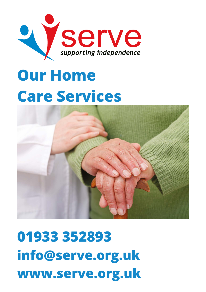

# **Our Home Care** Services



**01933 352893 info@serve.org.uk www.serve.org.uk**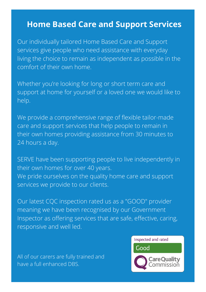#### **Home Based Care and Support Services**

Our individually tailored Home Based Care and Support services give people who need assistance with everyday living the choice to remain as independent as possible in the comfort of their own home.

Whether you're looking for long or short term care and support at home for yourself or a loved one we would like to help.

We provide a comprehensive range of flexible tailor-made care and support services that help people to remain in their own homes providing assistance from 30 minutes to 24 hours a day.

SERVE have been supporting people to live independently in their own homes for over 40 years. We pride ourselves on the quality home care and support services we provide to our clients.

Our latest CQC inspection rated us as a "GOOD" provider meaning we have been recognised by our Government Inspector as offering services that are safe, effective, caring, responsive and well led.

All of our carers are fully trained and have a full enhanced DBS.



Inspected and rated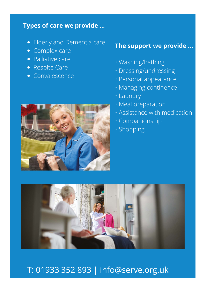#### **Types of care we provide ...**

- Elderly and Dementia care
- **Complex care**
- Palliative care
- Respite Care
- Convalescence

#### **The support we provide ...**

- Washing/bathing
- Dressing/undressing
- Personal appearance
- Managing continence
- Laundry
- Meal preparation
- Assistance with medication
- Companionship
- Shopping





### T: 01933 352 893 | info@serve.org.uk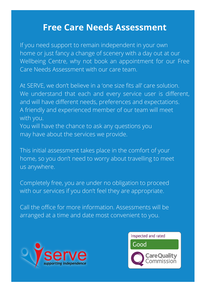### **Free Care Needs Assessment**

If you need support to remain independent in your own home or just fancy a change of scenery with a day out at our Wellbeing Centre, why not book an appointment for our Free Care Needs Assessment with our care team.

At SERVE, we don't believe in a 'one size fits all' care solution. We understand that each and every service user is different, and will have different needs, preferences and expectations. A friendly and experienced member of our team will meet with you.

You will have the chance to ask any questions you may have about the services we provide.

This initial assessment takes place in the comfort of your home, so you don't need to worry about travelling to meet us anywhere.

Completely free, you are under no obligation to proceed with our services if you don't feel they are appropriate.

Call the office for more information. Assessments will be arranged at a time and date most convenient to you.



**COMMUNITY** 

**TRANSPORT**

**PERSONAL**

**CARE**

**DOMESTIC**

**CARE**

Inspected and rated Good areOuality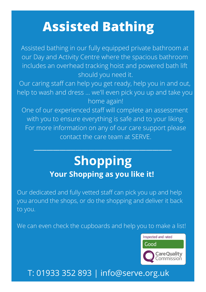## **Assisted Bathing**

Assisted bathing in our fully equipped private bathroom at our Day and Activity Centre where the spacious bathroom includes an overhead tracking hoist and powered bath lift should you need it.

Our caring staff can help you get ready, help you in and out, help to wash and dress ... we'll even pick you up and take you home again!

One of our experienced staff will complete an assessment with you to ensure everything is safe and to your liking. For more information on any of our care support please contact the care team at SERVE.

## **Shopping Your Shopping as you like it!**

**\_\_\_\_\_\_\_\_\_\_\_\_\_\_\_\_\_\_\_\_\_\_\_\_\_\_\_\_\_\_\_\_\_\_\_\_\_\_\_\_\_\_\_**

Our dedicated and fully vetted staff can pick you up and help you around the shops, or do the shopping and deliver it back to you.

We can even check the cupboards and help you to make a list!



### T: 01933 352 893 | info@serve.org.uk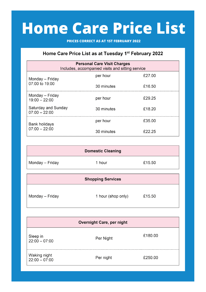# **Home Care Price List**

**PRICES CORRECT AS AT 1ST FEBRUARY 2022**

#### Home Care Price List as at Tuesday 1st February 2022

| <b>Personal Care Visit Charges</b><br>Includes, accompanied visits and sitting service |            |        |  |  |
|----------------------------------------------------------------------------------------|------------|--------|--|--|
| Monday - Friday<br>07:00 to 19:00                                                      | per hour   | £27.00 |  |  |
|                                                                                        | 30 minutes | £16.50 |  |  |
| Monday - Friday<br>$19:00 - 22:00$                                                     | per hour   | £29.25 |  |  |
| Saturday and Sunday<br>$07:00 - 22:00$                                                 | 30 minutes | £18.20 |  |  |
| Bank holidays<br>$07:00 - 22:00$                                                       | per hour   | £35.00 |  |  |
|                                                                                        | 30 minutes | F22 25 |  |  |

|                 | <b>Domestic Cleaning</b> |        |
|-----------------|--------------------------|--------|
| Monday – Friday | 1 hour                   | £15.50 |

| <b>Shopping Services</b> |                    |        |  |
|--------------------------|--------------------|--------|--|
| Monday – Friday          | 1 hour (shop only) | £15.50 |  |

| Overnight Care, per night       |           |         |
|---------------------------------|-----------|---------|
| Sleep in<br>22:00 – 07:00       | Per Night | £180.00 |
| Waking night<br>$22:00 - 07:00$ | Per night | £250.00 |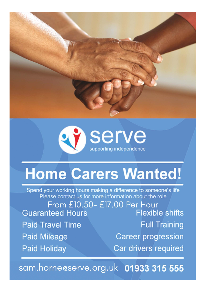



# **Home Carers Wanted!**

Spend your working hours making a difference to someone's life<br>Please contact us for more information about the role

From £10.50- £17.00 Per Hour **Flexible shifts Guaranteed Hours Full Training Paid Travel Time Paid Mileage Career progression** Car drivers required **Paid Holiday** 

sam.horne@serve.org.uk 01933 315 555